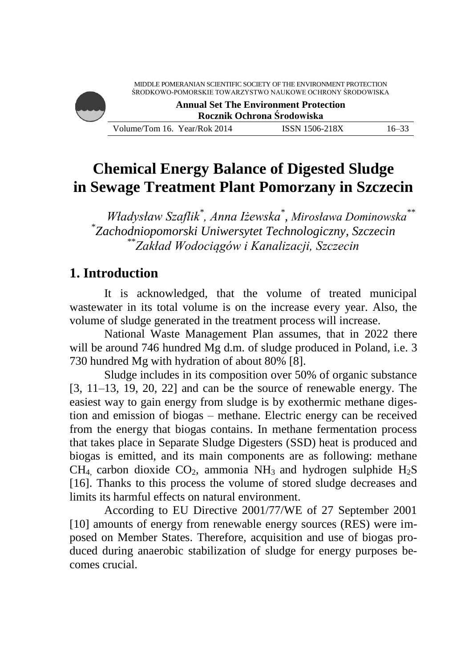MIDDLE POMERANIAN SCIENTIFIC SOCIETY OF THE ENVIRONMENT PROTECTION ŚRODKOWO-POMORSKIE TOWARZYSTWO NAUKOWE OCHRONY ŚRODOWISKA



**Annual Set The Environment Protection Rocznik Ochrona Środowiska**

Volume/Tom 16. Year/Rok 2014 ISSN 1506-218X 16–33

# **Chemical Energy Balance of Digested Sludge in Sewage Treatment Plant Pomorzany in Szczecin**

*Władysław Szaflik\* , Anna Iżewska\* , Mirosława Dominowska\*\** \* *Zachodniopomorski Uniwersytet Technologiczny, Szczecin* \*\**Zakład Wodociągów i Kanalizacji, Szczecin*

# **1. Introduction**

It is acknowledged, that the volume of treated municipal wastewater in its total volume is on the increase every year. Also, the volume of sludge generated in the treatment process will increase.

National Waste Management Plan assumes, that in 2022 there will be around 746 hundred Mg d.m. of sludge produced in Poland, i.e. 3 730 hundred Mg with hydration of about 80% [8].

Sludge includes in its composition over 50% of organic substance [3, 11–13, 19, 20, 22] and can be the source of renewable energy. The easiest way to gain energy from sludge is by exothermic methane digestion and emission of biogas – methane. Electric energy can be received from the energy that biogas contains. In methane fermentation process that takes place in Separate Sludge Digesters (SSD) heat is produced and biogas is emitted, and its main components are as following: methane  $CH_4$  carbon dioxide  $CO_2$ , ammonia NH<sub>3</sub> and hydrogen sulphide H<sub>2</sub>S [16]. Thanks to this process the volume of stored sludge decreases and limits its harmful effects on natural environment.

According to EU Directive 2001/77/WE of 27 September 2001 [10] amounts of energy from renewable energy sources (RES) were imposed on Member States. Therefore, acquisition and use of biogas produced during anaerobic stabilization of sludge for energy purposes becomes crucial.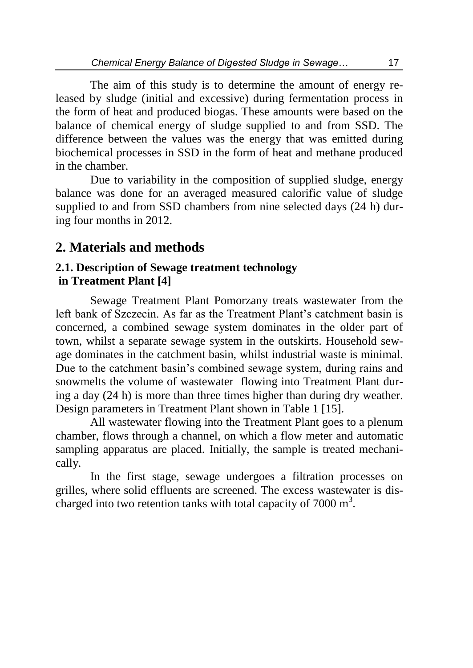The aim of this study is to determine the amount of energy released by sludge (initial and excessive) during fermentation process in the form of heat and produced biogas. These amounts were based on the balance of chemical energy of sludge supplied to and from SSD. The difference between the values was the energy that was emitted during biochemical processes in SSD in the form of heat and methane produced in the chamber.

Due to variability in the composition of supplied sludge, energy balance was done for an averaged measured calorific value of sludge supplied to and from SSD chambers from nine selected days (24 h) during four months in 2012.

## **2. Materials and methods**

### **2.1. Description of Sewage treatment technology in Treatment Plant [4]**

Sewage Treatment Plant Pomorzany treats wastewater from the left bank of Szczecin. As far as the Treatment Plant's catchment basin is concerned, a combined sewage system dominates in the older part of town, whilst a separate sewage system in the outskirts. Household sewage dominates in the catchment basin, whilst industrial waste is minimal. Due to the catchment basin's combined sewage system, during rains and snowmelts the volume of wastewater flowing into Treatment Plant during a day (24 h) is more than three times higher than during dry weather. Design parameters in Treatment Plant shown in Table 1 [15].

All wastewater flowing into the Treatment Plant goes to a plenum chamber, flows through a channel, on which a flow meter and automatic sampling apparatus are placed. Initially, the sample is treated mechanically.

In the first stage, sewage undergoes a filtration processes on grilles, where solid effluents are screened. The excess wastewater is discharged into two retention tanks with total capacity of  $7000 \text{ m}^3$ .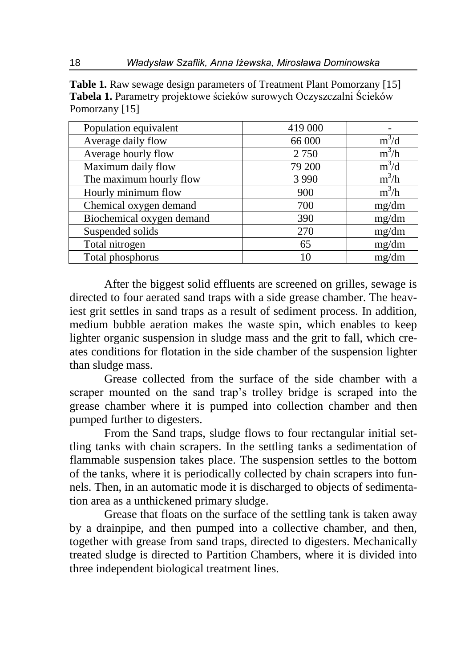**Table 1.** Raw sewage design parameters of Treatment Plant Pomorzany [15] **Tabela 1.** Parametry projektowe ścieków surowych Oczyszczalni Ścieków Pomorzany [15]

| Population equivalent     | 419 000 |         |
|---------------------------|---------|---------|
| Average daily flow        | 66 000  | $m^3/d$ |
| Average hourly flow       | 2 7 5 0 | $m^3/h$ |
| Maximum daily flow        | 79 200  | $m^3/d$ |
| The maximum hourly flow   | 3 9 9 0 | $m^3/h$ |
| Hourly minimum flow       | 900     | $m^3/h$ |
| Chemical oxygen demand    | 700     | mg/dm   |
| Biochemical oxygen demand | 390     | mg/dm   |
| Suspended solids          | 270     | mg/dm   |
| Total nitrogen            | 65      | mg/dm   |
| Total phosphorus          | 10      | mg/dm   |

After the biggest solid effluents are screened on grilles, sewage is directed to four aerated sand traps with a side grease chamber. The heaviest grit settles in sand traps as a result of sediment process. In addition, medium bubble aeration makes the waste spin, which enables to keep lighter organic suspension in sludge mass and the grit to fall, which creates conditions for flotation in the side chamber of the suspension lighter than sludge mass.

Grease collected from the surface of the side chamber with a scraper mounted on the sand trap's trolley bridge is scraped into the grease chamber where it is pumped into collection chamber and then pumped further to digesters.

From the Sand traps, sludge flows to four rectangular initial settling tanks with chain scrapers. In the settling tanks a sedimentation of flammable suspension takes place. The suspension settles to the bottom of the tanks, where it is periodically collected by chain scrapers into funnels. Then, in an automatic mode it is discharged to objects of sedimentation area as a unthickened primary sludge.

Grease that floats on the surface of the settling tank is taken away by a drainpipe, and then pumped into a collective chamber, and then, together with grease from sand traps, directed to digesters. Mechanically treated sludge is directed to Partition Chambers, where it is divided into three independent biological treatment lines.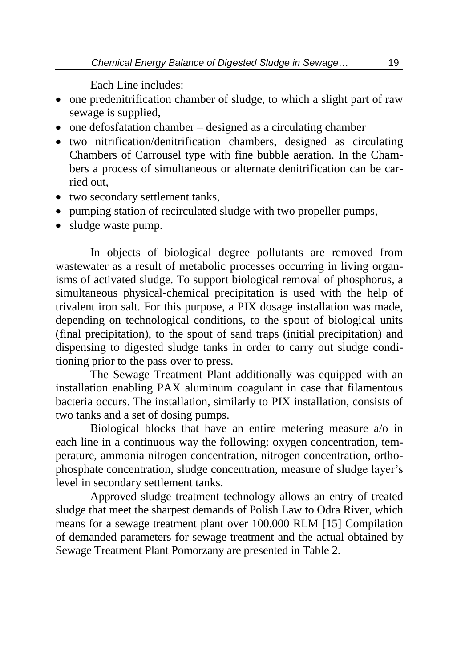Each Line includes:

- one predenitrification chamber of sludge, to which a slight part of raw sewage is supplied,
- $\bullet$  one defosfatation chamber designed as a circulating chamber
- two nitrification/denitrification chambers, designed as circulating Chambers of Carrousel type with fine bubble aeration. In the Chambers a process of simultaneous or alternate denitrification can be carried out,
- two secondary settlement tanks.
- pumping station of recirculated sludge with two propeller pumps,
- sludge waste pump.

In objects of biological degree pollutants are removed from wastewater as a result of metabolic processes occurring in living organisms of activated sludge. To support biological removal of phosphorus, a simultaneous physical-chemical precipitation is used with the help of trivalent iron salt. For this purpose, a PIX dosage installation was made, depending on technological conditions, to the spout of biological units (final precipitation), to the spout of sand traps (initial precipitation) and dispensing to digested sludge tanks in order to carry out sludge conditioning prior to the pass over to press.

The Sewage Treatment Plant additionally was equipped with an installation enabling PAX aluminum coagulant in case that filamentous bacteria occurs. The installation, similarly to PIX installation, consists of two tanks and a set of dosing pumps.

Biological blocks that have an entire metering measure a/o in each line in a continuous way the following: oxygen concentration, temperature, ammonia nitrogen concentration, nitrogen concentration, orthophosphate concentration, sludge concentration, measure of sludge layer's level in secondary settlement tanks.

Approved sludge treatment technology allows an entry of treated sludge that meet the sharpest demands of Polish Law to Odra River, which means for a sewage treatment plant over 100.000 RLM [15] Compilation of demanded parameters for sewage treatment and the actual obtained by Sewage Treatment Plant Pomorzany are presented in Table 2.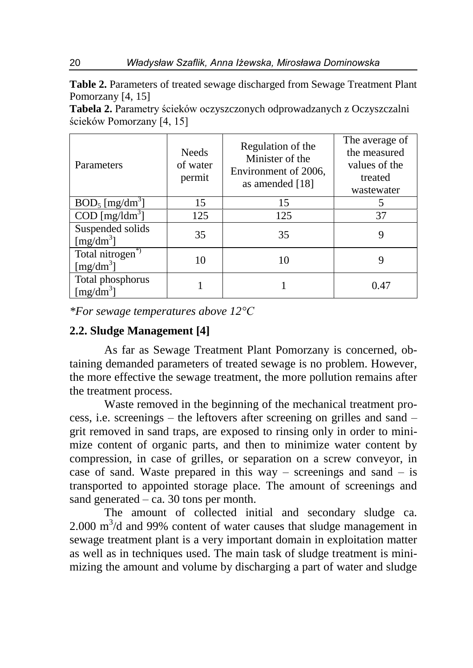**Table 2.** Parameters of treated sewage discharged from Sewage Treatment Plant Pomorzany [4, 15]

**Tabela 2.** Parametry ścieków oczyszczonych odprowadzanych z Oczyszczalni ścieków Pomorzany [4, 15]

| Parameters                                 | <b>Needs</b><br>of water<br>permit | Regulation of the<br>Minister of the<br>Environment of 2006,<br>as amended [18] | The average of<br>the measured<br>values of the<br>treated<br>wastewater |
|--------------------------------------------|------------------------------------|---------------------------------------------------------------------------------|--------------------------------------------------------------------------|
| $BOD_5$ [mg/dm <sup>3</sup> ]              | 15                                 | 15                                                                              |                                                                          |
| $\text{COD}$ [mg/ldm <sup>3</sup> ]        | 125                                | 125                                                                             | 37                                                                       |
| Suspended solids<br>[mg/dm <sup>3</sup> ]  | 35                                 | 35                                                                              |                                                                          |
| Total nitrogen <sup>*</sup><br>$[mg/dm^3]$ | 10                                 | 10                                                                              |                                                                          |
| Total phosphorus<br>[mg/dm <sup>3</sup> ]  |                                    |                                                                                 | 0.47                                                                     |

*\*For sewage temperatures above 12°C*

### **2.2. Sludge Management [4]**

As far as Sewage Treatment Plant Pomorzany is concerned, obtaining demanded parameters of treated sewage is no problem. However, the more effective the sewage treatment, the more pollution remains after the treatment process.

Waste removed in the beginning of the mechanical treatment process, i.e. screenings – the leftovers after screening on grilles and sand – grit removed in sand traps, are exposed to rinsing only in order to minimize content of organic parts, and then to minimize water content by compression, in case of grilles, or separation on a screw conveyor, in case of sand. Waste prepared in this way – screenings and sand – is transported to appointed storage place. The amount of screenings and sand generated – ca. 30 tons per month.

The amount of collected initial and secondary sludge ca.  $2.000 \text{ m}^3$ /d and 99% content of water causes that sludge management in sewage treatment plant is a very important domain in exploitation matter as well as in techniques used. The main task of sludge treatment is minimizing the amount and volume by discharging a part of water and sludge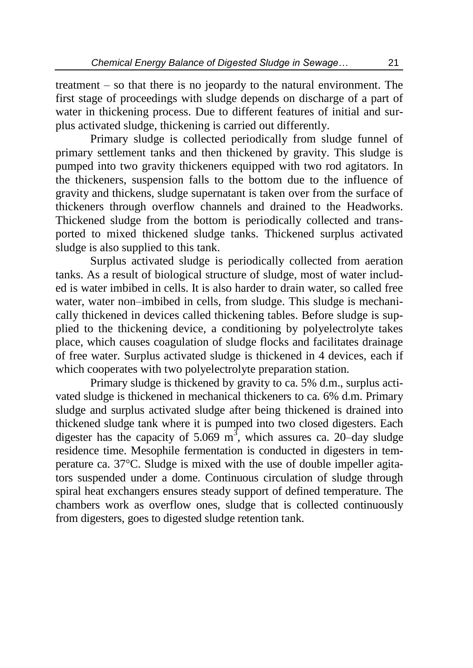treatment – so that there is no jeopardy to the natural environment. The first stage of proceedings with sludge depends on discharge of a part of water in thickening process. Due to different features of initial and surplus activated sludge, thickening is carried out differently.

Primary sludge is collected periodically from sludge funnel of primary settlement tanks and then thickened by gravity. This sludge is pumped into two gravity thickeners equipped with two rod agitators. In the thickeners, suspension falls to the bottom due to the influence of gravity and thickens, sludge supernatant is taken over from the surface of thickeners through overflow channels and drained to the Headworks. Thickened sludge from the bottom is periodically collected and transported to mixed thickened sludge tanks. Thickened surplus activated sludge is also supplied to this tank.

Surplus activated sludge is periodically collected from aeration tanks. As a result of biological structure of sludge, most of water included is water imbibed in cells. It is also harder to drain water, so called free water, water non–imbibed in cells, from sludge. This sludge is mechanically thickened in devices called thickening tables. Before sludge is supplied to the thickening device, a conditioning by polyelectrolyte takes place, which causes coagulation of sludge flocks and facilitates drainage of free water. Surplus activated sludge is thickened in 4 devices, each if which cooperates with two polyelectrolyte preparation station.

Primary sludge is thickened by gravity to ca. 5% d.m., surplus activated sludge is thickened in mechanical thickeners to ca. 6% d.m. Primary sludge and surplus activated sludge after being thickened is drained into thickened sludge tank where it is pumped into two closed digesters. Each digester has the capacity of 5.069  $m^3$ , which assures ca. 20-day sludge residence time. Mesophile fermentation is conducted in digesters in temperature ca. 37°C. Sludge is mixed with the use of double impeller agitators suspended under a dome. Continuous circulation of sludge through spiral heat exchangers ensures steady support of defined temperature. The chambers work as overflow ones, sludge that is collected continuously from digesters, goes to digested sludge retention tank.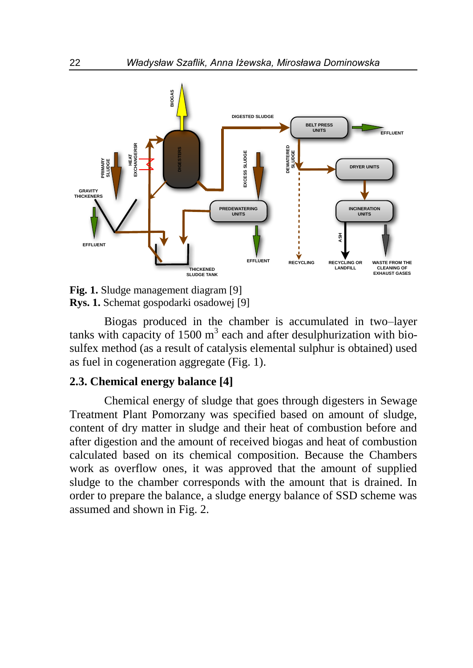

**Fig. 1.** Sludge management diagram [9] **Rys. 1.** Schemat gospodarki osadowej [9]

Biogas produced in the chamber is accumulated in two–layer tanks with capacity of  $1500 \text{ m}^3$  each and after desulphurization with biosulfex method (as a result of catalysis elemental sulphur is obtained) used as fuel in cogeneration aggregate (Fig. 1).

#### **2.3. Chemical energy balance [4]**

Chemical energy of sludge that goes through digesters in Sewage Treatment Plant Pomorzany was specified based on amount of sludge, content of dry matter in sludge and their heat of combustion before and after digestion and the amount of received biogas and heat of combustion calculated based on its chemical composition. Because the Chambers work as overflow ones, it was approved that the amount of supplied sludge to the chamber corresponds with the amount that is drained. In order to prepare the balance, a sludge energy balance of SSD scheme was assumed and shown in Fig. 2.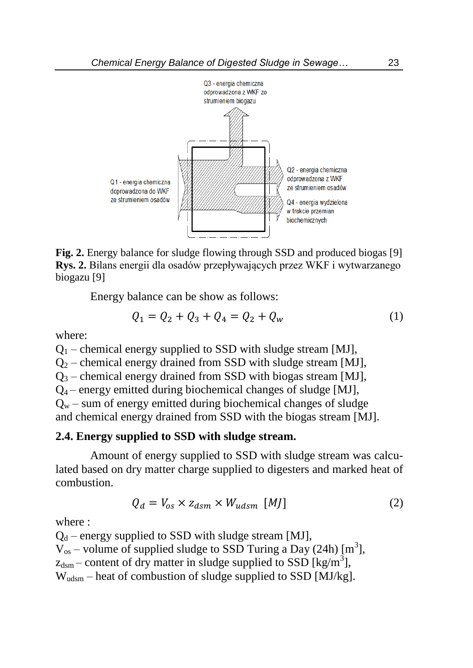

**Fig. 2.** Energy balance for sludge flowing through SSD and produced biogas [9] **Rys. 2.** Bilans energii dla osadów przepływających przez WKF i wytwarzanego biogazu [9]

Energy balance can be show as follows:

$$
Q_1 = Q_2 + Q_3 + Q_4 = Q_2 + Q_w \tag{1}
$$

where:

 $Q_1$  – chemical energy supplied to SSD with sludge stream [MJ],  $Q_2$  – chemical energy drained from SSD with sludge stream [MJ],  $Q_3$  – chemical energy drained from SSD with biogas stream [MJ],  $Q_4$  – energy emitted during biochemical changes of sludge [MJ],  $Q_w$  – sum of energy emitted during biochemical changes of sludge and chemical energy drained from SSD with the biogas stream [MJ].

#### **2.4. Energy supplied to SSD with sludge stream.**

Amount of energy supplied to SSD with sludge stream was calculated based on dry matter charge supplied to digesters and marked heat of combustion.

$$
Q_d = V_{os} \times z_{dsm} \times W_{udsm} \quad [MJ] \tag{2}
$$

where :

 $Q_d$  – energy supplied to SSD with sludge stream [MJ],  $V_{os}$  – volume of supplied sludge to SSD Turing a Day (24h) [m<sup>3</sup>],  $z_{\text{dsm}}$  – content of dry matter in sludge supplied to SSD [kg/m<sup>3</sup>],  $W_{\text{udsm}}$  – heat of combustion of sludge supplied to SSD [MJ/kg].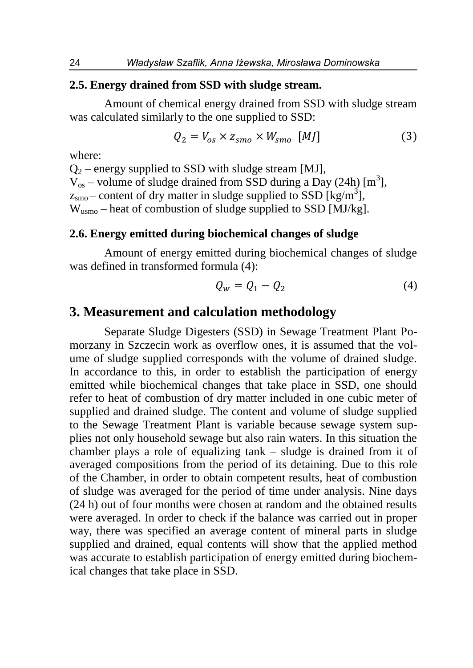#### **2.5. Energy drained from SSD with sludge stream.**

Amount of chemical energy drained from SSD with sludge stream was calculated similarly to the one supplied to SSD:

$$
Q_2 = V_{os} \times z_{smo} \times W_{smo} \quad [MJ] \tag{3}
$$

where:

 $Q_2$  – energy supplied to SSD with sludge stream [MJ],  $V_{\text{os}}$  – volume of sludge drained from SSD during a Day (24h) [m<sup>3</sup>],  $z_{\rm smo}$  – content of dry matter in sludge supplied to SSD [kg/m<sup>3</sup>], W<sub>usmo</sub> – heat of combustion of sludge supplied to SSD [MJ/kg].

#### **2.6. Energy emitted during biochemical changes of sludge**

Amount of energy emitted during biochemical changes of sludge was defined in transformed formula (4):

$$
Q_w = Q_1 - Q_2 \tag{4}
$$

### **3. Measurement and calculation methodology**

Separate Sludge Digesters (SSD) in Sewage Treatment Plant Pomorzany in Szczecin work as overflow ones, it is assumed that the volume of sludge supplied corresponds with the volume of drained sludge. In accordance to this, in order to establish the participation of energy emitted while biochemical changes that take place in SSD, one should refer to heat of combustion of dry matter included in one cubic meter of supplied and drained sludge. The content and volume of sludge supplied to the Sewage Treatment Plant is variable because sewage system supplies not only household sewage but also rain waters. In this situation the chamber plays a role of equalizing tank – sludge is drained from it of averaged compositions from the period of its detaining. Due to this role of the Chamber, in order to obtain competent results, heat of combustion of sludge was averaged for the period of time under analysis. Nine days (24 h) out of four months were chosen at random and the obtained results were averaged. In order to check if the balance was carried out in proper way, there was specified an average content of mineral parts in sludge supplied and drained, equal contents will show that the applied method was accurate to establish participation of energy emitted during biochemical changes that take place in SSD.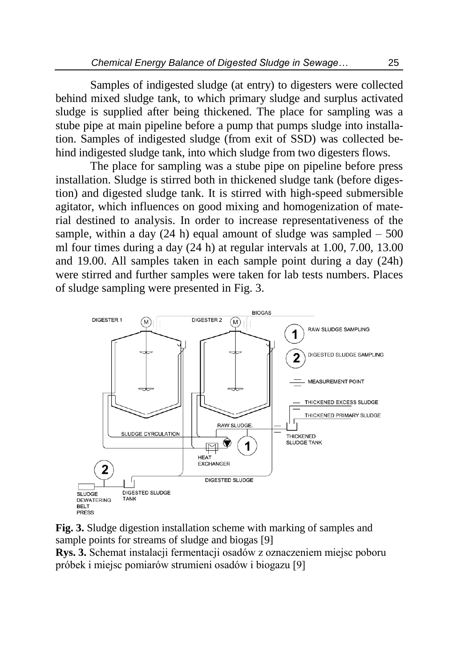Samples of indigested sludge (at entry) to digesters were collected behind mixed sludge tank, to which primary sludge and surplus activated sludge is supplied after being thickened. The place for sampling was a stube pipe at main pipeline before a pump that pumps sludge into installation. Samples of indigested sludge (from exit of SSD) was collected behind indigested sludge tank, into which sludge from two digesters flows.

The place for sampling was a stube pipe on pipeline before press installation. Sludge is stirred both in thickened sludge tank (before digestion) and digested sludge tank. It is stirred with high-speed submersible agitator, which influences on good mixing and homogenization of material destined to analysis. In order to increase representativeness of the sample, within a day  $(24 h)$  equal amount of sludge was sampled  $-500$ ml four times during a day (24 h) at regular intervals at 1.00, 7.00, 13.00 and 19.00. All samples taken in each sample point during a day (24h) were stirred and further samples were taken for lab tests numbers. Places of sludge sampling were presented in Fig. 3.



**Fig. 3.** Sludge digestion installation scheme with marking of samples and sample points for streams of sludge and biogas [9]

**Rys. 3.** Schemat instalacji fermentacji osadów z oznaczeniem miejsc poboru próbek i miejsc pomiarów strumieni osadów i biogazu [9]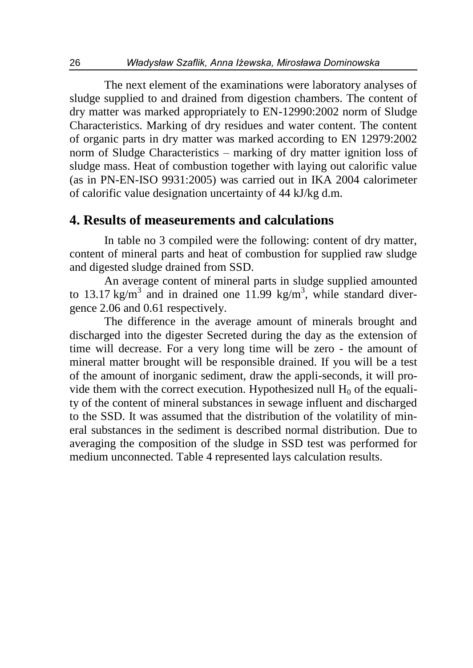The next element of the examinations were laboratory analyses of sludge supplied to and drained from digestion chambers. The content of dry matter was marked appropriately to EN-12990:2002 norm of Sludge Characteristics. Marking of dry residues and water content. The content of organic parts in dry matter was marked according to EN 12979:2002 norm of Sludge Characteristics – marking of dry matter ignition loss of sludge mass. Heat of combustion together with laying out calorific value (as in PN-EN-ISO 9931:2005) was carried out in IKA 2004 calorimeter of calorific value designation uncertainty of 44 kJ/kg d.m.

### **4. Results of measeurements and calculations**

In table no 3 compiled were the following: content of dry matter, content of mineral parts and heat of combustion for supplied raw sludge and digested sludge drained from SSD.

An average content of mineral parts in sludge supplied amounted to 13.17 kg/m<sup>3</sup> and in drained one 11.99 kg/m<sup>3</sup>, while standard divergence 2.06 and 0.61 respectively.

The difference in the average amount of minerals brought and discharged into the digester Secreted during the day as the extension of time will decrease. For a very long time will be zero - the amount of mineral matter brought will be responsible drained. If you will be a test of the amount of inorganic sediment, draw the appli-seconds, it will provide them with the correct execution. Hypothesized null  $H_0$  of the equality of the content of mineral substances in sewage influent and discharged to the SSD. It was assumed that the distribution of the volatility of mineral substances in the sediment is described normal distribution. Due to averaging the composition of the sludge in SSD test was performed for medium unconnected. Table 4 represented lays calculation results.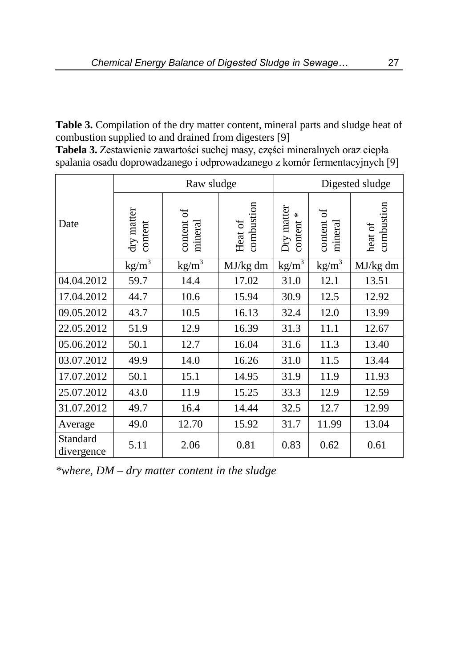**Table 3.** Compilation of the dry matter content, mineral parts and sludge heat of combustion supplied to and drained from digesters [9]

| Tabela 3. Zestawienie zawartości suchej masy, części mineralnych oraz ciepła |
|------------------------------------------------------------------------------|
| spalania osadu doprowadzanego i odprowadzanego z komór fermentacyjnych [9]   |

|                        | Raw sludge            |                        | Digested sludge       |                            |                        |                       |
|------------------------|-----------------------|------------------------|-----------------------|----------------------------|------------------------|-----------------------|
| Date                   | dry matter<br>content | ð<br>content<br>minera | combustion<br>Heat of | Dry matter<br>₩<br>content | ð<br>content<br>minera | combustion<br>heat of |
|                        | $kg/m^3$              | $kg/m^3$               | MJ/kg dm              | $kg/m^3$                   | $kg/m^3$               | MJ/kg dm              |
| 04.04.2012             | 59.7                  | 14.4                   | 17.02                 | 31.0                       | 12.1                   | 13.51                 |
| 17.04.2012             | 44.7                  | 10.6                   | 15.94                 | 30.9                       | 12.5                   | 12.92                 |
| 09.05.2012             | 43.7                  | 10.5                   | 16.13                 | 32.4                       | 12.0                   | 13.99                 |
| 22.05.2012             | 51.9                  | 12.9                   | 16.39                 | 31.3                       | 11.1                   | 12.67                 |
| 05.06.2012             | 50.1                  | 12.7                   | 16.04                 | 31.6                       | 11.3                   | 13.40                 |
| 03.07.2012             | 49.9                  | 14.0                   | 16.26                 | 31.0                       | 11.5                   | 13.44                 |
| 17.07.2012             | 50.1                  | 15.1                   | 14.95                 | 31.9                       | 11.9                   | 11.93                 |
| 25.07.2012             | 43.0                  | 11.9                   | 15.25                 | 33.3                       | 12.9                   | 12.59                 |
| 31.07.2012             | 49.7                  | 16.4                   | 14.44                 | 32.5                       | 12.7                   | 12.99                 |
| Average                | 49.0                  | 12.70                  | 15.92                 | 31.7                       | 11.99                  | 13.04                 |
| Standard<br>divergence | 5.11                  | 2.06                   | 0.81                  | 0.83                       | 0.62                   | 0.61                  |

*\*where, DM – dry matter content in the sludge*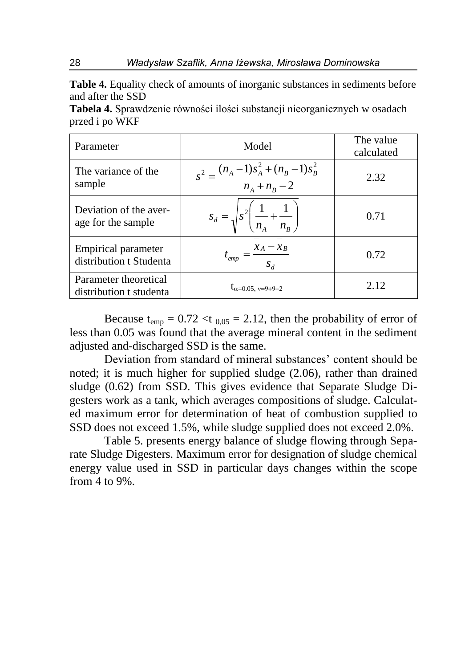**Table 4.** Equality check of amounts of inorganic substances in sediments before and after the SSD

**Tabela 4.** Sprawdzenie równości ilości substancji nieorganicznych w osadach przed i po WKF

| Parameter                                             | Model                                                               | The value<br>calculated |
|-------------------------------------------------------|---------------------------------------------------------------------|-------------------------|
| The variance of the<br>sample                         | $s^{2} = \frac{(n_A - 1)s_A^{2} + (n_B - 1)s_B^{2}}{n_A + n_B - 2}$ | 2.32                    |
| Deviation of the aver-<br>age for the sample          | $s_d = \sqrt{s^2 \left( \frac{1}{n_A} + \frac{1}{n_B} \right)}$     | 0.71                    |
| <b>Empirical parameter</b><br>distribution t Studenta | $t_{emp} = \frac{\bar{x}_A - x_B}{s_d}$                             | 0.72                    |
| Parameter theoretical<br>distribution t studenta      | $t_{\alpha=0.05, v=9+9-2}$                                          | 2.12                    |

Because  $t_{\text{emp}} = 0.72 < t_{0.05} = 2.12$ , then the probability of error of less than 0.05 was found that the average mineral content in the sediment adjusted and-discharged SSD is the same.

Deviation from standard of mineral substances' content should be noted; it is much higher for supplied sludge (2.06), rather than drained sludge (0.62) from SSD. This gives evidence that Separate Sludge Digesters work as a tank, which averages compositions of sludge. Calculated maximum error for determination of heat of combustion supplied to SSD does not exceed 1.5%, while sludge supplied does not exceed 2.0%.

Table 5. presents energy balance of sludge flowing through Separate Sludge Digesters. Maximum error for designation of sludge chemical energy value used in SSD in particular days changes within the scope from 4 to 9%.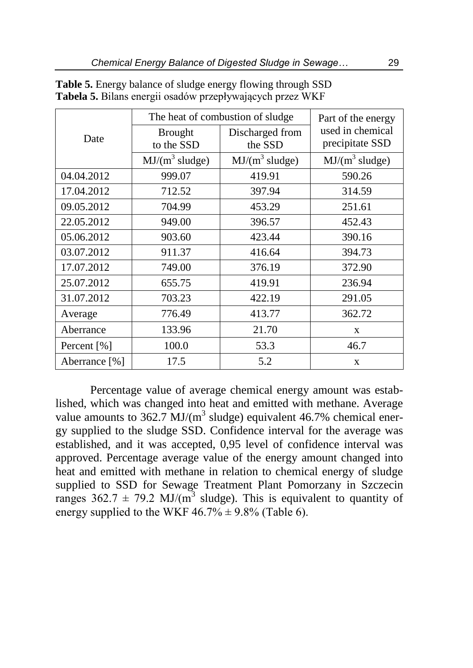|               | The heat of combustion of sludge | Part of the energy         |                                     |
|---------------|----------------------------------|----------------------------|-------------------------------------|
| Date          | <b>Brought</b><br>to the SSD     | Discharged from<br>the SSD | used in chemical<br>precipitate SSD |
|               | $MJ/(m^3 \,sludge)$              | $MJ/(m^3 \,sludge)$        | $MJ/(m^3 \,sludge)$                 |
| 04.04.2012    | 999.07                           | 419.91                     | 590.26                              |
| 17.04.2012    | 712.52                           | 397.94                     | 314.59                              |
| 09.05.2012    | 704.99                           | 453.29                     | 251.61                              |
| 22.05.2012    | 949.00                           | 396.57                     | 452.43                              |
| 05.06.2012    | 903.60                           | 423.44                     | 390.16                              |
| 03.07.2012    | 911.37                           | 416.64                     | 394.73                              |
| 17.07.2012    | 749.00                           | 376.19                     | 372.90                              |
| 25.07.2012    | 655.75                           | 419.91                     | 236.94                              |
| 31.07.2012    | 703.23                           | 422.19                     | 291.05                              |
| Average       | 776.49                           | 413.77                     | 362.72                              |
| Aberrance     | 133.96                           | 21.70                      | X                                   |
| Percent [%]   | 100.0                            | 53.3                       | 46.7                                |
| Aberrance [%] | 17.5                             | 5.2                        | $\mathbf{x}$                        |

**Table 5.** Energy balance of sludge energy flowing through SSD **Tabela 5.** Bilans energii osadów przepływających przez WKF

Percentage value of average chemical energy amount was established, which was changed into heat and emitted with methane. Average value amounts to 362.7 MJ/( $m<sup>3</sup>$  sludge) equivalent 46.7% chemical energy supplied to the sludge SSD. Confidence interval for the average was established, and it was accepted, 0,95 level of confidence interval was approved. Percentage average value of the energy amount changed into heat and emitted with methane in relation to chemical energy of sludge supplied to SSD for Sewage Treatment Plant Pomorzany in Szczecin ranges  $362.7 \pm 79.2$  MJ/(m<sup>3</sup> sludge). This is equivalent to quantity of energy supplied to the WKF  $46.7\% \pm 9.8\%$  (Table 6).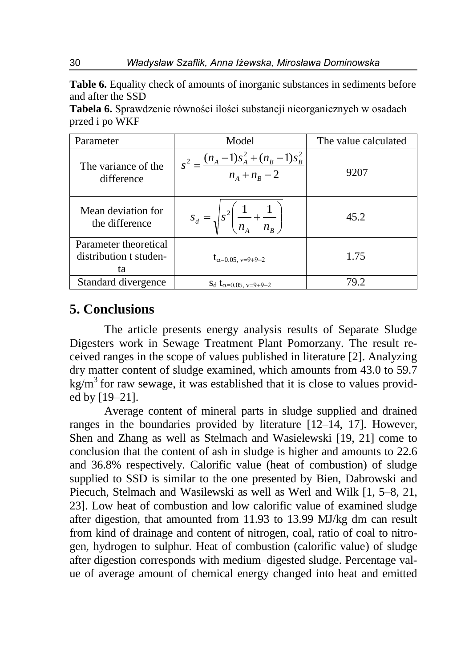**Table 6.** Equality check of amounts of inorganic substances in sediments before and after the SSD

**Tabela 6.** Sprawdzenie równości ilości substancji nieorganicznych w osadach przed i po WKF

| Parameter                                             | Model                                                               | The value calculated |
|-------------------------------------------------------|---------------------------------------------------------------------|----------------------|
| The variance of the<br>difference                     | $s^{2} = \frac{(n_A - 1)s_A^{2} + (n_B - 1)s_B^{2}}{n_A + n_B - 2}$ | 9207                 |
| Mean deviation for<br>the difference                  | $s_d = \sqrt{s^2 \left( \frac{1}{n_A} + \frac{1}{n_B} \right)}$     | 45.2                 |
| Parameter theoretical<br>distribution t studen-<br>ta | $t_{\alpha=0.05, v=9+9-2}$                                          | 1.75                 |
| Standard divergence                                   | $S_d$ $t_{\alpha=0.05, v=9+9-2}$                                    | 79.2                 |

## **5. Conclusions**

The article presents energy analysis results of Separate Sludge Digesters work in Sewage Treatment Plant Pomorzany. The result received ranges in the scope of values published in literature [2]. Analyzing dry matter content of sludge examined, which amounts from 43.0 to 59.7  $kg/m<sup>3</sup>$  for raw sewage, it was established that it is close to values provided by [19–21].

Average content of mineral parts in sludge supplied and drained ranges in the boundaries provided by literature [12–14, 17]. However, Shen and Zhang as well as Stelmach and Wasielewski [19, 21] come to conclusion that the content of ash in sludge is higher and amounts to 22.6 and 36.8% respectively. Calorific value (heat of combustion) of sludge supplied to SSD is similar to the one presented by Bien, Dabrowski and Piecuch, Stelmach and Wasilewski as well as Werl and Wilk [1, 5–8, 21, 23]. Low heat of combustion and low calorific value of examined sludge after digestion, that amounted from 11.93 to 13.99 MJ/kg dm can result from kind of drainage and content of nitrogen, coal, ratio of coal to nitrogen, hydrogen to sulphur. Heat of combustion (calorific value) of sludge after digestion corresponds with medium–digested sludge. Percentage value of average amount of chemical energy changed into heat and emitted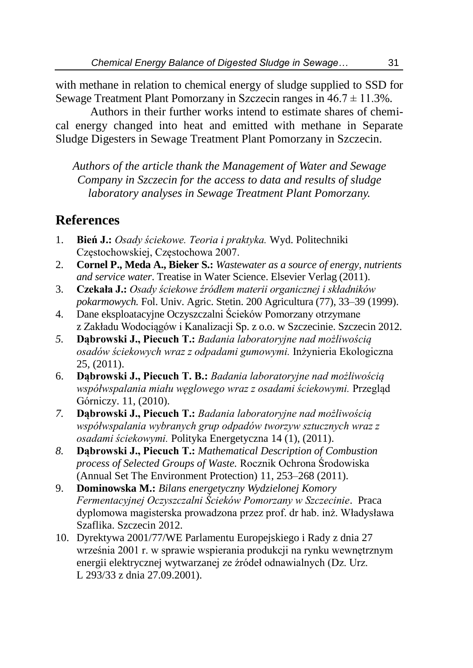with methane in relation to chemical energy of sludge supplied to SSD for Sewage Treatment Plant Pomorzany in Szczecin ranges in  $46.7 \pm 11.3\%$ .

Authors in their further works intend to estimate shares of chemical energy changed into heat and emitted with methane in Separate Sludge Digesters in Sewage Treatment Plant Pomorzany in Szczecin.

*Authors of the article thank the Management of Water and Sewage Company in Szczecin for the access to data and results of sludge laboratory analyses in Sewage Treatment Plant Pomorzany.*

# **References**

- 1. **Bień J.:** *Osady ściekowe. Teoria i praktyka.* Wyd. Politechniki Częstochowskiej, Częstochowa 2007.
- 2. **Cornel P., Meda A., Bieker S.:** *Wastewater as a source of energy, nutrients and service water*. Treatise in Water Science. Elsevier Verlag (2011).
- 3. **Czekała J.:** *Osady ściekowe źródłem materii organicznej i składników pokarmowych.* Fol. Univ. Agric. Stetin. 200 Agricultura (77), 33–39 (1999).
- 4. Dane eksploatacyjne Oczyszczalni Ścieków Pomorzany otrzymane z Zakładu Wodociągów i Kanalizacji Sp. z o.o. w Szczecinie. Szczecin 2012.
- *5.* **Dąbrowski J., Piecuch T.:** *Badania laboratoryjne nad możliwością osadów ściekowych wraz z odpadami gumowymi.* Inżynieria Ekologiczna 25, (2011).
- 6. **Dąbrowski J., Piecuch T. B.:** *Badania laboratoryjne nad możliwością współwspalania miału węglowego wraz z osadami ściekowymi.* Przegląd Górniczy. 11, (2010).
- *7.* **Dąbrowski J., Piecuch T.:** *Badania laboratoryjne nad możliwością współwspalania wybranych grup odpadów tworzyw sztucznych wraz z osadami ściekowymi.* Polityka Energetyczna 14 (1), (2011).
- *8.* **Dąbrowski J., Piecuch T.:** *Mathematical Description of Combustion process of Selected Groups of Waste.* Rocznik Ochrona Środowiska (Annual Set The Environment Protection) 11, 253–268 (2011).
- 9. **Dominowska M.:** *Bilans energetyczny Wydzielonej Komory Fermentacyjnej Oczyszczalni Ścieków Pomorzany w Szczecinie*. Praca dyplomowa magisterska prowadzona przez prof. dr hab. inż. Władysława Szaflika. Szczecin 2012.
- 10. Dyrektywa 2001/77/WE Parlamentu Europejskiego i Rady z dnia 27 września 2001 r. w sprawie wspierania produkcji na rynku wewnętrznym energii elektrycznej wytwarzanej ze źródeł odnawialnych (Dz. Urz. L 293/33 z dnia 27.09.2001).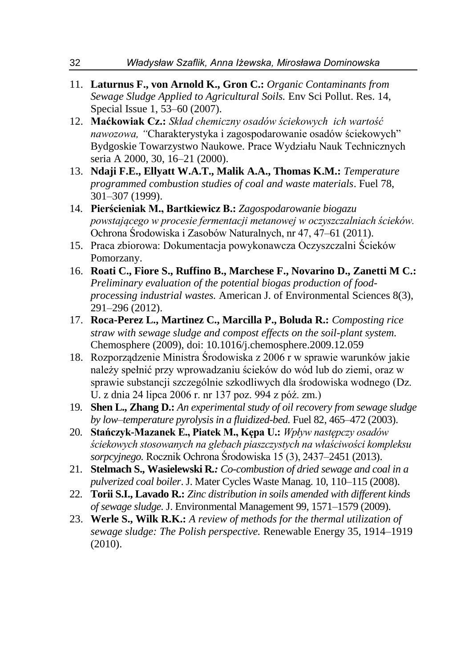- 11. **Laturnus F., von Arnold K., Gron C.:** *Organic Contaminants from Sewage Sludge Applied to Agricultural Soils.* Env Sci Pollut. Res. 14, Special Issue 1, 53–60 (2007).
- 12. **Maćkowiak Cz.:** *Skład chemiczny osadów ściekowych ich wartość nawozowa, "*Charakterystyka i zagospodarowanie osadów ściekowych" Bydgoskie Towarzystwo Naukowe. Prace Wydziału Nauk Technicznych seria A 2000, 30, 16–21 (2000).
- 13. **Ndaji F.E., Ellyatt W.A.T., Malik A.A., Thomas K.M.:** *Temperature programmed combustion studies of coal and waste materials*. Fuel 78, 301–307 (1999).
- 14. **Pierścieniak M., Bartkiewicz B.:** *Zagospodarowanie biogazu powstającego w procesie fermentacji metanowej w oczyszczalniach ścieków.* Ochrona Środowiska i Zasobów Naturalnych, nr 47, 47–61 (2011).
- 15. Praca zbiorowa: Dokumentacja powykonawcza Oczyszczalni Ścieków Pomorzany.
- 16. **Roati C., Fiore S., Ruffino B., Marchese F., Novarino D., Zanetti M C.:**  *Preliminary evaluation of the potential biogas production of foodprocessing industrial wastes.* American J. of Environmental Sciences 8(3), 291–296 (2012).
- 17. **Roca-Perez L., Martinez C., Marcilla P., Boluda R.:** *Composting rice straw with sewage sludge and compost effects on the soil-plant system.* Chemosphere (2009), doi: 10.1016/j.chemosphere.2009.12.059
- 18. Rozporządzenie Ministra Środowiska z 2006 r w sprawie warunków jakie należy spełnić przy wprowadzaniu ścieków do wód lub do ziemi, oraz w sprawie substancji szczególnie szkodliwych dla środowiska wodnego (Dz. U. z dnia 24 lipca 2006 r. nr 137 poz. 994 z póź. zm.)
- 19. **Shen L., Zhang D.:** *An experimental study of oil recovery from sewage sludge by low–temperature pyrolysis in a fluidized-bed.* Fuel 82, 465–472 (2003).
- 20. **Stańczyk-Mazanek E., Piatek M., Kępa U.:** *Wpływ następczy osadów ściekowych stosowanych na glebach piaszczystych na właściwości kompleksu sorpcyjnego.* Rocznik Ochrona Środowiska 15 (3), 2437–2451 (2013).
- 21. **Stelmach S., Wasielewski R***.: Co-combustion of dried sewage and coal in a pulverized coal boiler*. J. Mater Cycles Waste Manag. 10, 110–115 (2008).
- 22. **Torii S.I., Lavado R.:** *Zinc distribution in soils amended with different kinds of sewage sludge.* J. Environmental Management 99, 1571–1579 (2009).
- 23. **Werle S., Wilk R.K.:** *A review of methods for the thermal utilization of sewage sludge: The Polish perspective.* Renewable Energy 35, 1914–1919 (2010).